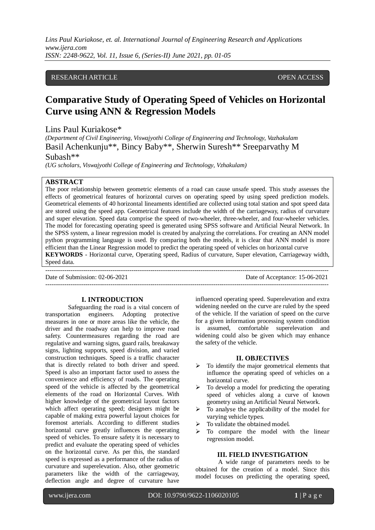## RESEARCH ARTICLE **CONSERVERS** OPEN ACCESS

# **Comparative Study of Operating Speed of Vehicles on Horizontal Curve using ANN & Regression Models**

Lins Paul Kuriakose\* *(Department of Civil Engineering, Viswajyothi College of Engineering and Technology, Vazhakulam* Basil Achenkunju\*\*, Bincy Baby\*\*, Sherwin Suresh\*\* Sreeparvathy M Subash\*\*

*(UG scholars, Viswajyothi College of Engineering and Technology, Vzhakulam)*

## **ABSTRACT**

The poor relationship between geometric elements of a road can cause unsafe speed. This study assesses the effects of geometrical features of horizontal curves on operating speed by using speed prediction models. Geometrical elements of 40 horizontal lineaments identified are collected using total station and spot speed data are stored using the speed app. Geometrical features include the width of the carriageway, radius of curvature and super elevation. Speed data comprise the speed of two-wheeler, three-wheeler, and four-wheeler vehicles. The model for forecasting operating speed is generated using SPSS software and Artificial Neural Network. In the SPSS system, a linear regression model is created by analyzing the correlations. For creating an ANN model python programming language is used. By comparing both the models, it is clear that ANN model is more efficient than the Linear Regression model to predict the operating speed of vehicles on horizontal curve **KEYWORDS** - Horizontal curve, Operating speed, Radius of curvature, Super elevation, Carriageway width, Speed data.

Date of Submission: 02-06-2021 Date of Acceptance: 15-06-2021 ---------------------------------------------------------------------------------------------------------------------------------------

---------------------------------------------------------------------------------------------------------------------------------------

## **I. INTRODUCTION**

Safeguarding the road is a vital concern of transportation engineers. Adopting protective measures in one or more areas like the vehicle, the driver and the roadway can help to improve road safety. Countermeasures regarding the road are regulative and warning signs, guard rails, breakaway signs, lighting supports, speed division, and varied construction techniques. Speed is a traffic character that is directly related to both driver and speed. Speed is also an important factor used to assess the convenience and efficiency of roads. The operating speed of the vehicle is affected by the geometrical elements of the road on Horizontal Curves. With higher knowledge of the geometrical layout factors which affect operating speed; designers might be capable of making extra powerful layout choices for foremost arterials. According to different studies horizontal curve greatly influences the operating speed of vehicles. To ensure safety it is necessary to predict and evaluate the operating speed of vehicles on the horizontal curve. As per this, the standard speed is expressed as a performance of the radius of curvature and superelevation. Also, other geometric parameters like the width of the carriageway, deflection angle and degree of curvature have

influenced operating speed. Superelevation and extra widening needed on the curve are ruled by the speed of the vehicle. If the variation of speed on the curve for a given information processing system condition is assumed, comfortable superelevation and widening could also be given which may enhance the safety of the vehicle.

#### **II. OBJECTIVES**

- $\triangleright$  To identify the major geometrical elements that influence the operating speed of vehicles on a horizontal curve.
- $\triangleright$  To develop a model for predicting the operating speed of vehicles along a curve of known geometry using an Artificial Neural Network.
- $\triangleright$  To analyse the applicability of the model for varying vehicle types.
- $\triangleright$  To validate the obtained model.
- $\triangleright$  To compare the model with the linear regression model.

#### **III. FIELD INVESTIGATION**

A wide range of parameters needs to be obtained for the creation of a model. Since this model focuses on predicting the operating speed,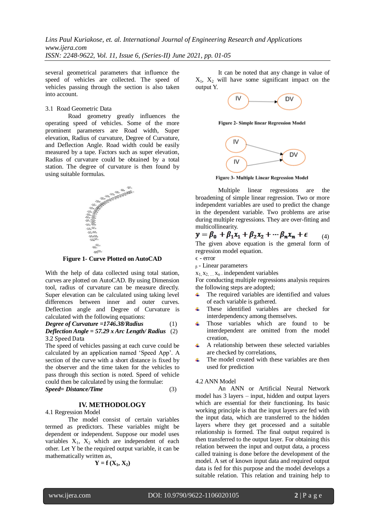several geometrical parameters that influence the speed of vehicles are collected. The speed of vehicles passing through the section is also taken into account.

## 3.1 Road Geometric Data

Road geometry greatly influences the operating speed of vehicles. Some of the more prominent parameters are Road width, Super elevation, Radius of curvature, Degree of Curvature, and Deflection Angle. Road width could be easily measured by a tape. Factors such as super elevation, Radius of curvature could be obtained by a total station. The degree of curvature is then found by using suitable formulas.



**Figure 1- Curve Plotted on AutoCAD**

With the help of data collected using total station, curves are plotted on AutoCAD. By using Dimension tool, radius of curvature can be measure directly. Super elevation can be calculated using taking level differences between inner and outer curves. Deflection angle and Degree of Curvature is calculated with the following equations:

*Degree of Curvature =1746.38/Radius*(1)

*Deflection Angle = 57.29 x Arc Length/ Radius*(2) 3.2 Speed Data

The speed of vehicles passing at each curve could be calculated by an application named 'Speed App'. A section of the curve with a short distance is fixed by the observer and the time taken for the vehicles to pass through this section is noted. Speed of vehicle could then be calculated by using the formulae: *Speed= Distance/Time* (3)

## **IV. METHODOLOGY**

4.1 Regression Model

The model consist of certain variables termed as predictors. These variables might be dependent or independent. Suppose our model uses variables  $X_1$ ,  $X_2$  which are independent of each other. Let Y be the required output variable, it can be mathematically written as,

$$
\mathbf{Y} = \mathbf{f} \left( \mathbf{X}_1, \mathbf{X}_2 \right)
$$

It can be noted that any change in value of  $X_1$ ,  $X_2$  will have some significant impact on the output Y.



Figure 2- Simple linear Regression Model



**Figure 3- Multiple Linear Regression Model** 

Multiple linear regressions are the broadening of simple linear regression. Two or more independent variables are used to predict the change in the dependent variable. Two problems are arise during multiple regressions. They are over-fitting and multicollinearity.

 $y = \beta_0 + \beta_1 x_1 + \beta_2 x_2 + \cdots + \beta_n x_n + \epsilon$  (4) The given above equation is the general form of

regression model equation.

 $\epsilon$  - error

 $<sub>β</sub>$  - Linear parameters</sub>

 $x_1$ ,  $x_2$ ,  $x_n$  independent variables

For conducting multiple regressions analysis requires the following steps are adopted;

- The required variables are identified and values 4. of each variable is gathered.
- These identified variables are checked for 4 interdependency among themselves.
- Those variables which are found to be interdependent are omitted from the model creation,
- $\ddot{\bullet}$ A relationship between these selected variables are checked by correlations,
- The model created with these variables are then ٠ used for prediction

#### 4.2 ANN Model

An ANN or Artificial Neural Network model has 3 layers – input, hidden and output layers which are essential for their functioning. Its basic working principle is that the input layers are fed with the input data, which are transferred to the hidden layers where they get processed and a suitable relationship is formed. The final output required is then transferred to the output layer. For obtaining this relation between the input and output data, a process called training is done before the development of the model. A set of known input data and required output data is fed for this purpose and the model develops a suitable relation. This relation and training help to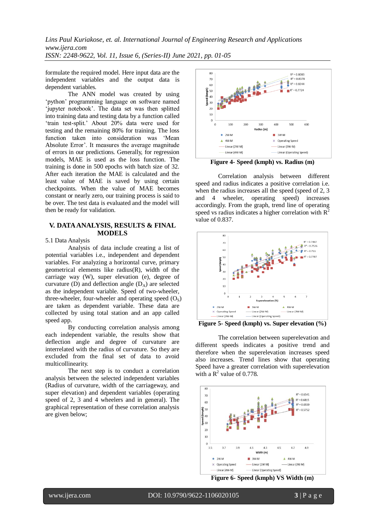formulate the required model. Here input data are the independent variables and the output data is dependent variables.

The ANN model was created by using 'python' programming language on software named 'jupyter notebook'. The data set was then splitted into training data and testing data by a function called 'train test-split.' About 20% data were used for testing and the remaining 80% for training. The loss function taken into consideration was 'Mean Absolute Error'. It measures the average magnitude of errors in our predictions. Generally, for regression models, MAE is used as the loss function. The training is done in 500 epochs with batch size of 32. After each iteration the MAE is calculated and the least value of MAE is saved by using certain checkpoints. When the value of MAE becomes constant or nearly zero, our training process is said to be over. The test data is evaluated and the model will then be ready for validation.

## **V. DATA ANALYSIS, RESULTS & FINAL MODELS**

5.1 Data Analysis

Analysis of data include creating a list of potential variables i.e., independent and dependent variables. For analyzing a horizontal curve, primary geometrical elements like radius(R), width of the carriage way (W), super elevation (e), degree of curvature (D) and deflection angle  $(D_A)$  are selected as the independent variable. Speed of two-wheeler, three-wheeler, four-wheeler and operating speed  $(O_s)$ are taken as dependent variable. These data are collected by using total station and an app called speed app.

By conducting correlation analysis among each independent variable, the results show that deflection angle and degree of curvature are interrelated with the radius of curvature. So they are excluded from the final set of data to avoid multicollinearity.

The next step is to conduct a correlation analysis between the selected independent variables (Radius of curvature, width of the carriageway, and super elevation) and dependent variables (operating speed of 2, 3 and 4 wheelers and in general). The graphical representation of these correlation analysis are given below;



**Figure 4- Speed (kmph) vs. Radius (m)**

Correlation analysis between different speed and radius indicates a positive correlation i.e. when the radius increases all the speed (speed of 2, 3) and 4 wheeler, operating speed) increases accordingly. From the graph, trend line of operating speed vs radius indicates a higher correlation with  $R<sup>2</sup>$ value of 0.837.



**Figure 5- Speed (kmph) vs. Super elevation (%)**

The correlation between superelevation and different speeds indicates a positive trend and therefore when the superelevation increases speed also increases. Trend lines show that operating Speed have a greater correlation with superelevation with a  $\mathbb{R}^2$  value of 0.778.



**Figure 6- Speed (kmph) VS Width (m)**

l

www.ijera.com DOI: 10.9790/9622-1106020105 **3** | P a g e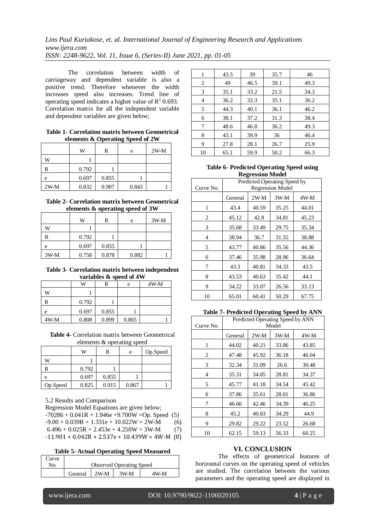The correlation between width of carriageway and dependent variable is also a positive trend. Therefore whenever the width increases speed also increases. Trend line of operating speed indicates a higher value of  $\mathbb{R}^2$  0.693. Correlation matrix for all the independent variable and dependent variables are given below;

## **Table 1- Correlation matrix between Geometrical elements & Operating Speed of 2W**

|        | W     | R     | e     | $2W-M$ |
|--------|-------|-------|-------|--------|
| w      |       |       |       |        |
| R      | 0.792 |       |       |        |
| e      | 0.697 | 0.855 |       |        |
| $2W-M$ | 0.832 | 0.907 | 0.843 |        |

### **Table 2- Correlation matrix between Geometrical elements & operating speed of 3W**

|        | W     | R     | e     | $3W-M$ |
|--------|-------|-------|-------|--------|
| W      |       |       |       |        |
|        | 0.792 |       |       |        |
| e      | 0.697 | 0.855 |       |        |
| $3W-M$ | 0.758 | 0.878 | 0.882 |        |

### **Table 3- Correlation matrix between independent variables & speed of 4W**

|        | W     | R     | e     | $4W-M$ |  |
|--------|-------|-------|-------|--------|--|
| w      |       |       |       |        |  |
|        | 0.792 |       |       |        |  |
| e      | 0.697 | 0.855 |       |        |  |
| $4W-M$ | 0.808 | 0.899 | 0.865 |        |  |

**Table 4-** Correlation matrix between Geometrical elements & operating speed

|          | W     |       | e     | Op.Speed |
|----------|-------|-------|-------|----------|
| W        |       |       |       |          |
|          | 0.792 |       |       |          |
| e        | 0.697 | 0.855 |       |          |
| Op.Speed | 0.825 | 0.915 | 0.867 |          |

5.2 Results and Comparison

Regression Model Equations are given below;  $-70286 + 0.041R + 1.946e + 9.700W = Op. Speed (5)$  $-9.00 + 0.039R + 1.331e + 10.022W = 2W-M$  (6)  $6.496 + 0.025R + 2.453e + 4.250W = 3W-M$  (7)  $-11.901 + 0.042R + 2.537e + 10.439W = 4W-M$  (8)

## **Table 5- Actual Operating Speed Measured**

| Curve |                                 |  |      |      |  |
|-------|---------------------------------|--|------|------|--|
| No.   | <b>Observed Operating Speed</b> |  |      |      |  |
|       | General 1 2W-M                  |  | 3W-M | 4W-M |  |

| 1  | 43.5 | 39   | 35.7 | 46   |
|----|------|------|------|------|
| 2  | 49   | 46.5 | 39.1 | 49.3 |
| 3  | 35.1 | 33.2 | 21.5 | 34.3 |
| 4  | 36.2 | 32.3 | 35.1 | 36.2 |
| 5  | 44.3 | 40.1 | 36.1 | 46.2 |
| 6  | 38.1 | 37.2 | 31.3 | 38.4 |
| 7  | 48.6 | 46.8 | 36.2 | 49.3 |
| 8  | 43.1 | 39.9 | 36   | 46.4 |
| 9  | 27.8 | 28.1 | 26.7 | 25.9 |
| 10 | 65.1 | 59.9 | 50.2 | 66.3 |

## **Table 6- Predicted Operating Speed using Regression Model**

| Curve No. | Predicted Operating Speed by<br><b>Regression Model</b> |        |        |        |  |
|-----------|---------------------------------------------------------|--------|--------|--------|--|
|           |                                                         |        |        |        |  |
|           | General                                                 | $2W-M$ | $3W-M$ | $4W-M$ |  |
| 1         | 43.4                                                    | 40.59  | 35.25  | 44.01  |  |
| 2         | 45.12                                                   | 42.8   | 34.81  | 45.23  |  |
| 3         | 35.68                                                   | 33.49  | 29.75  | 35.34  |  |
| 4         | 38.94                                                   | 36.7   | 31.55  | 38.88  |  |
| 5         | 43.77                                                   | 40.86  | 35.56  | 44.36  |  |
| 6         | 37.46                                                   | 35.98  | 28.96  | 36.64  |  |
| 7         | 43.3                                                    | 40.81  | 34.33  | 43.5   |  |
| 8         | 43.53                                                   | 40.63  | 35.42  | 44.1   |  |
| 9         | 34.22                                                   | 33.07  | 26.56  | 33.13  |  |
| 10        | 65.01                                                   | 60.41  | 50.29  | 67.75  |  |

## **Table 7- Predicted Operating Speed by ANN**

| Curve No. | $\sigma$ . $\mathbf{r}$<br>Predicted Operating Speed by ANN<br>Model |       |       |       |
|-----------|----------------------------------------------------------------------|-------|-------|-------|
|           | $2W-M$<br>$3W-M$<br>General                                          |       | 4W-M  |       |
| 1         | 44.02                                                                | 40.21 | 33.86 | 43.85 |
| 2         | 47.48                                                                | 45.92 | 36.18 | 46.04 |
| 3         | 32.34                                                                | 31.09 | 26.6  | 30.48 |
| 4         | 35.31                                                                | 34.05 | 28.81 | 34.37 |
| 5         | 45.77                                                                | 41.18 | 34.54 | 45.42 |
| 6         | 37.86                                                                | 35.61 | 28.01 | 36.86 |
| 7         | 46.60                                                                | 42.46 | 34.39 | 46.25 |
| 8         | 45.2                                                                 | 40.83 | 34.29 | 44.9  |
| 9         | 29.82                                                                | 29.22 | 23.52 | 26.68 |
| 10        | 62.15                                                                | 59.13 | 56.33 | 60.25 |

# **VI. CONCLUSION**

The effects of geometrical features of horizontal curves on the operating speed of vehicles are studied. The correlation between the various parameters and the operating speed are displayed in